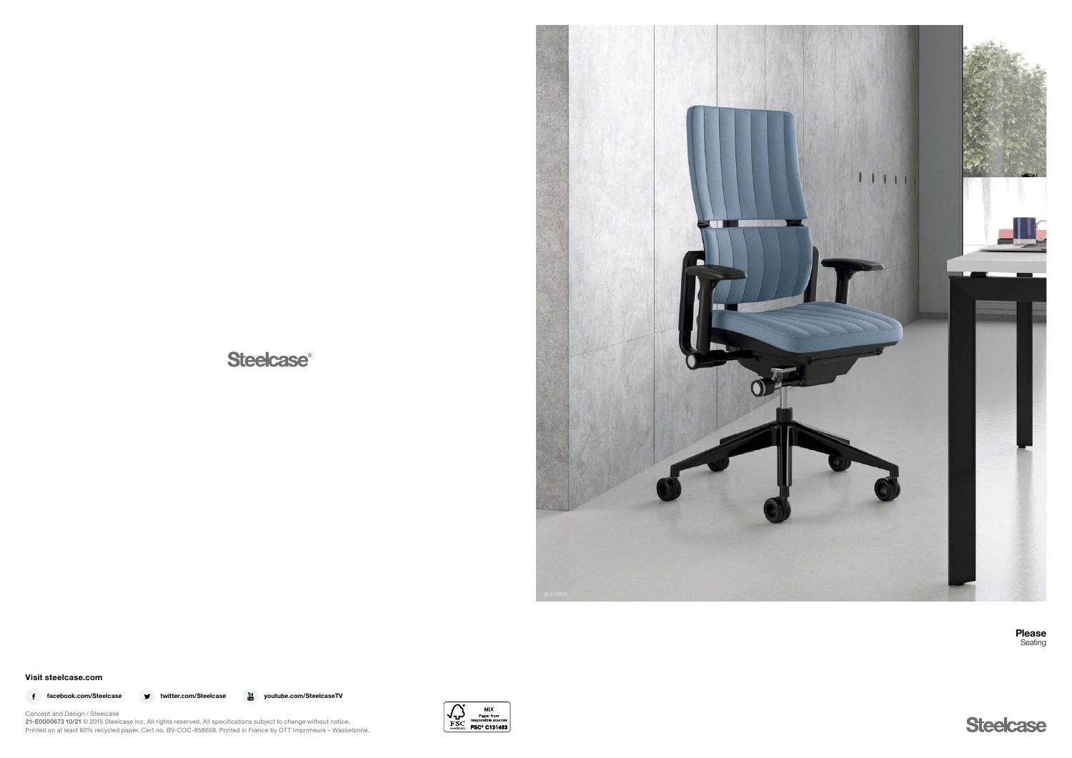## **Steelcase®**



Visit steelcase.com

f facebook.com/Steelcase **v** twitter.com/Steelcase <sub>on</sub> youtube.com/SteelcaseTV



Concept and Design / Steelcase 21-E0000673 10/21 © 2015 Steelcase Inc. All rights reserved. All specifications subject to change without notice. Printed on at least 60% recycled paper. Cert no. BV-COC-858659. Printed in France by OTT Imprimeurs – Wasselonne. Please Seating

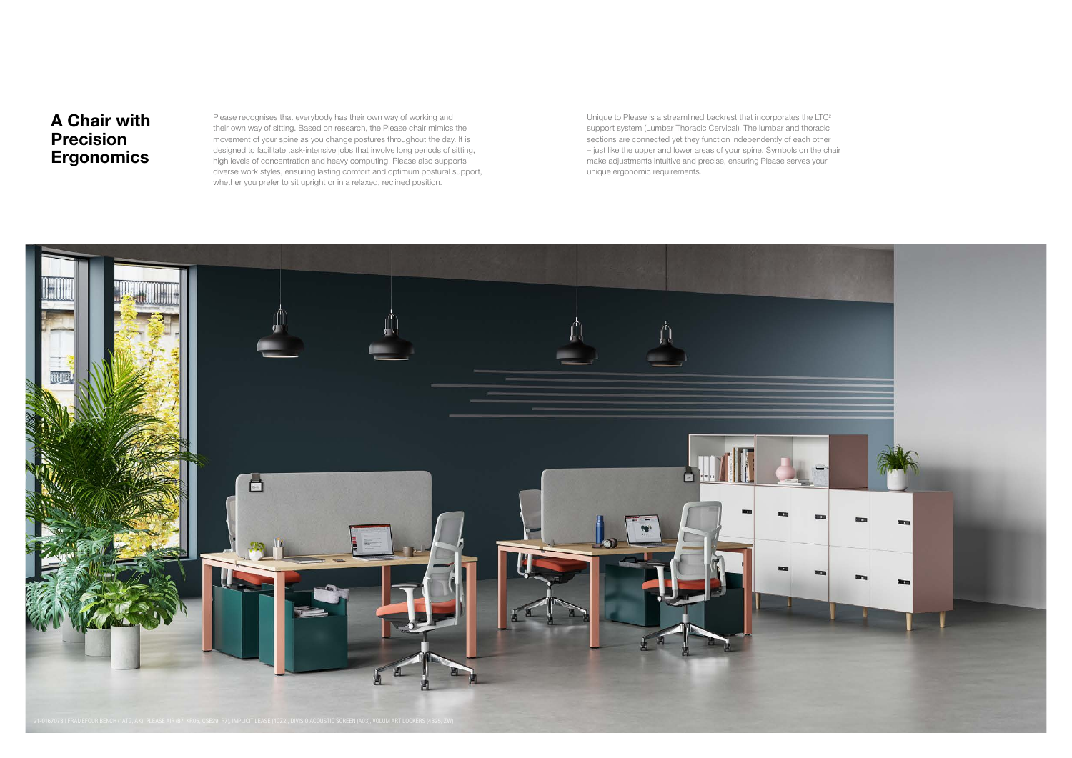

Please recognises that everybody has their own way of working and their own way of sitting. Based on research, the Please chair mimics the movement of your spine as you change postures throughout the day. It is designed to facilitate task-intensive jobs that involve long periods of sitting, high levels of concentration and heavy computing. Please also supports diverse work styles, ensuring lasting comfort and optimum postural support, whether you prefer to sit upright or in a relaxed, reclined position.

Unique to Please is a streamlined backrest that incorporates the LTC<sup>2</sup> support system (Lumbar Thoracic Cervical). The lumbar and thoracic sections are connected yet they function independently of each other – just like the upper and lower areas of your spine. Symbols on the chair make adjustments intuitive and precise, ensuring Please serves your unique ergonomic requirements.

## A Chair with Precision **Ergonomics**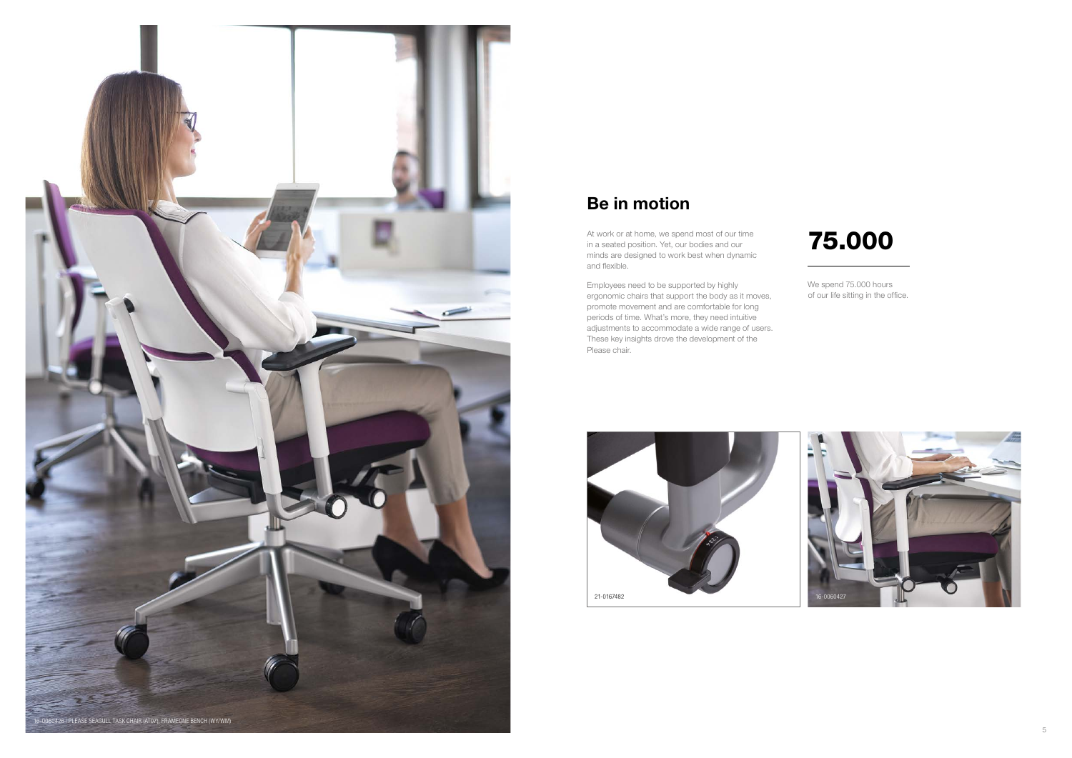



We spend 75.000 hours of our life sitting in the office.



# 75.000

Employees need to be supported by highly ergonomic chairs that support the body as it moves, promote movement and are comfortable for long periods of time. What's more, they need intuitive adjustments to accommodate a wide range of users. These key insights drove the development of the Please chair.

## Be in motion

At work or at home, we spend most of our time in a seated position. Yet, our bodies and our minds are designed to work best when dynamic and flexible.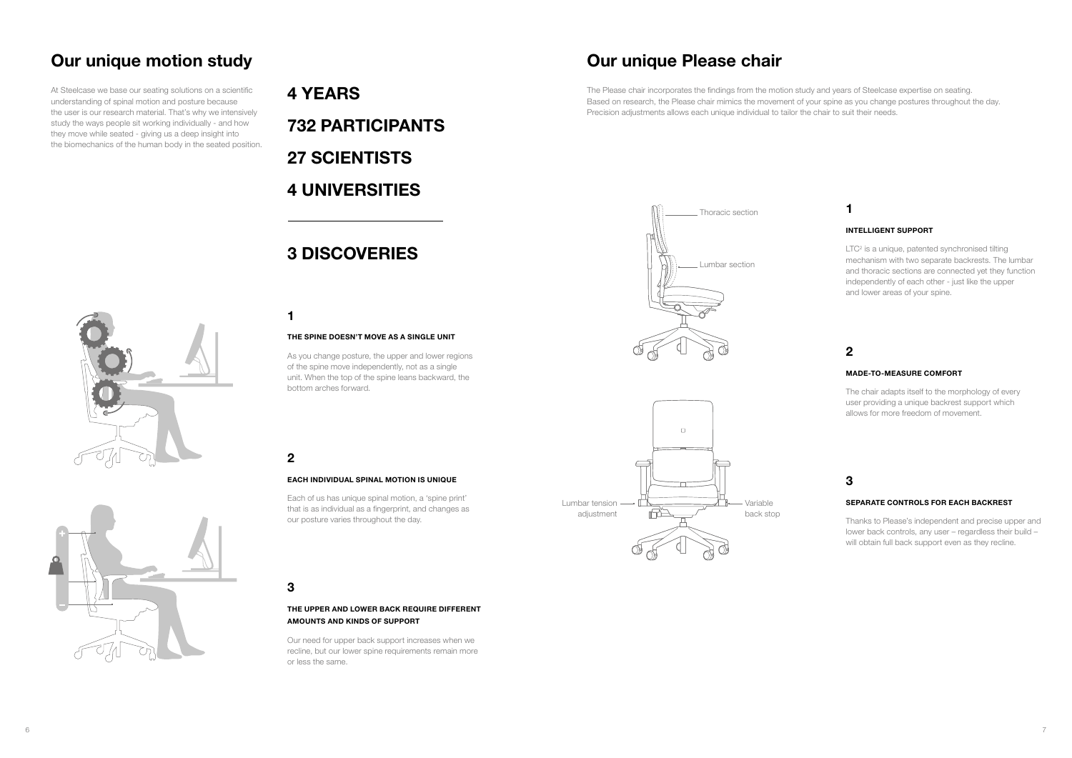## Our unique motion study

At Steelcase we base our seating solutions on a scientific understanding of spinal motion and posture because the user is our research material. That's why we intensively study the ways people sit working individually - and how they move while seated - giving us a deep insight into the biomechanics of the human body in the seated position. 4 YEARS 732 PARTICIPANTS 27 SCIENTISTS 4 UNIVERSITIES

## 3 DISCOVERIES

1

# 2

## 3

### THE SPINE DOESN'T MOVE AS A SINGLE UNIT

As you change posture, the upper and lower regions of the spine move independently, not as a single unit. When the top of the spine leans backward, the bottom arches forward.

### EACH INDIVIDUAL SPINAL MOTION IS UNIQUE

Each of us has unique spinal motion, a 'spine print' that is as individual as a fingerprint, and changes as our posture varies throughout the day.

LTC<sup>2</sup> is a unique, patented synchronised tilting mechanism with two separate backrests. The lumbar and thoracic sections are connected yet they function independently of each other - just like the upper and lower areas of your spine.

## THE UPPER AND LOWER BACK REQUIRE DIFFERENT AMOUNTS AND KINDS OF SUPPORT

Our need for upper back support increases when we recline, but our lower spine requirements remain more or less the same.





## Our unique Please chair

The Please chair incorporates the findings from the motion study and years of Steelcase expertise on seating. Based on research, the Please chair mimics the movement of your spine as you change postures throughout the day. Precision adjustments allows each unique individual to tailor the chair to suit their needs.



## 1

## 2

## 3

## INTELLIGENT SUPPORT

### MADE-TO-MEASURE COMFORT

The chair adapts itself to the morphology of every user providing a unique backrest support which allows for more freedom of movement.

### SEPARATE CONTROLS FOR EACH BACKREST

Thanks to Please's independent and precise upper and lower back controls, any user – regardless their build – will obtain full back support even as they recline.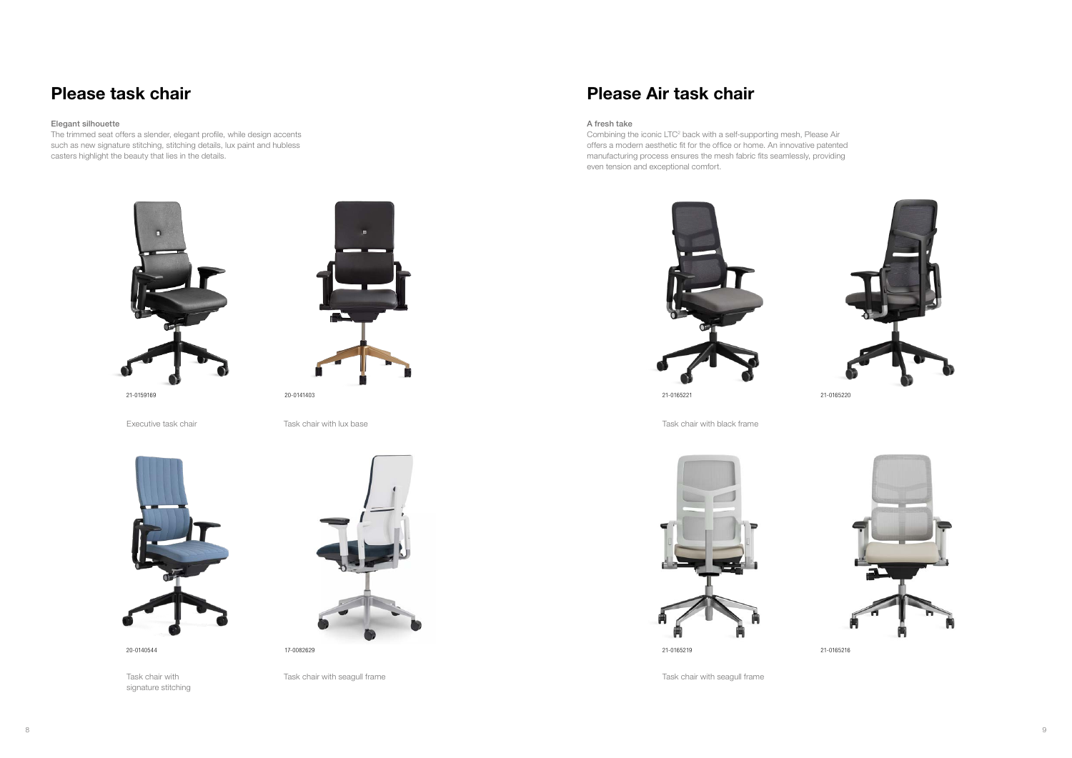21-0159169 21-0165221





20-0141403 21-0165220





Executive task chair with black frame Task chair with lux base Task chair with black frame Task chair with lux base



Task chair with signature stitching



Task chair with seagull frame Task chair with seagull frame

## Please task chair

### Elegant silhouette

Combining the iconic LTC<sup>2</sup> back with a self-supporting mesh, Please Air offers a modern aesthetic fit for the office or home. An innovative patented manufacturing process ensures the mesh fabric fits seamlessly, providing even tension and exceptional comfort.



The trimmed seat offers a slender, elegant profile, while design accents such as new signature stitching, stitching details, lux paint and hubless casters highlight the beauty that lies in the details.



## Please Air task chair

## A fresh take